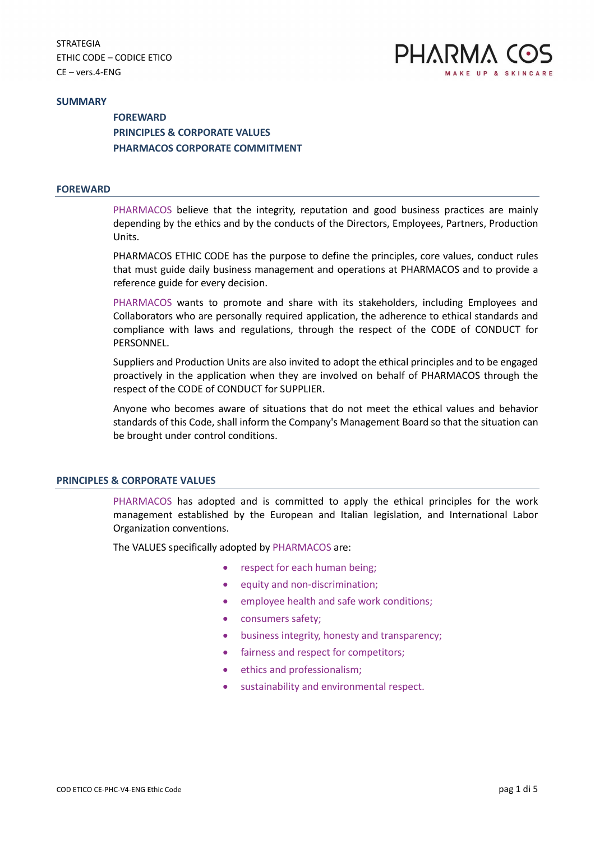

#### **SUMMARY**

**FOREWARD** PRINCIPLES & CORPORATE VALUES PHARMACOS CORPORATE COMMITMENT

#### FOREWARD

PHARMACOS believe that the integrity, reputation and good business practices are mainly depending by the ethics and by the conducts of the Directors, Employees, Partners, Production Units.

PHARMACOS ETHIC CODE has the purpose to define the principles, core values, conduct rules that must guide daily business management and operations at PHARMACOS and to provide a reference guide for every decision.

PHARMACOS wants to promote and share with its stakeholders, including Employees and Collaborators who are personally required application, the adherence to ethical standards and compliance with laws and regulations, through the respect of the CODE of CONDUCT for PERSONNEL.

Suppliers and Production Units are also invited to adopt the ethical principles and to be engaged proactively in the application when they are involved on behalf of PHARMACOS through the respect of the CODE of CONDUCT for SUPPLIER.

Anyone who becomes aware of situations that do not meet the ethical values and behavior standards of this Code, shall inform the Company's Management Board so that the situation can be brought under control conditions.

#### PRINCIPLES & CORPORATE VALUES

PHARMACOS has adopted and is committed to apply the ethical principles for the work management established by the European and Italian legislation, and International Labor Organization conventions.

The VALUES specifically adopted by PHARMACOS are:

- respect for each human being;
- equity and non-discrimination;
- employee health and safe work conditions;
- consumers safety;
- business integrity, honesty and transparency;
- fairness and respect for competitors;
- ethics and professionalism;
- sustainability and environmental respect.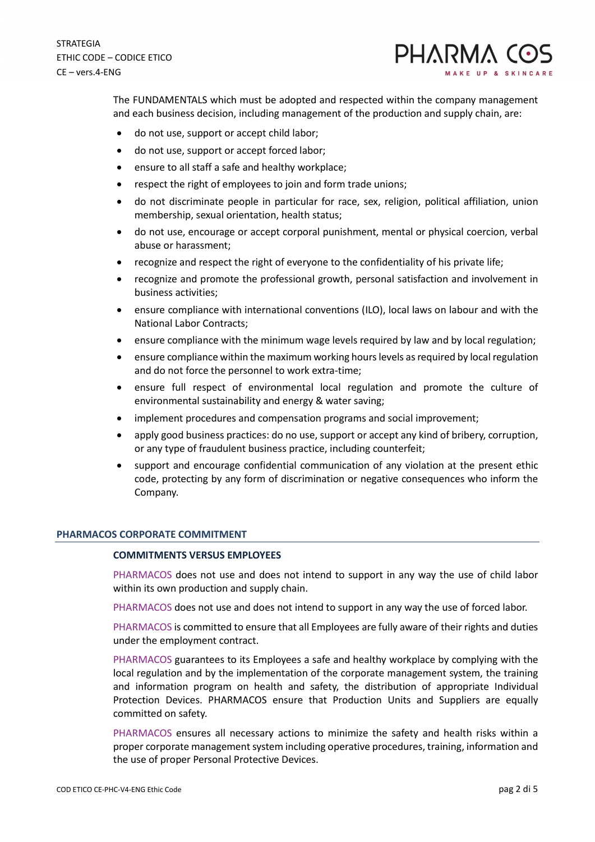

The FUNDAMENTALS which must be adopted and respected within the company management and each business decision, including management of the production and supply chain, are:

- do not use, support or accept child labor;
- do not use, support or accept forced labor;
- ensure to all staff a safe and healthy workplace;
- respect the right of employees to join and form trade unions;
- do not discriminate people in particular for race, sex, religion, political affiliation, union membership, sexual orientation, health status;
- do not use, encourage or accept corporal punishment, mental or physical coercion, verbal abuse or harassment;
- recognize and respect the right of everyone to the confidentiality of his private life;
- recognize and promote the professional growth, personal satisfaction and involvement in business activities;
- ensure compliance with international conventions (ILO), local laws on labour and with the National Labor Contracts;
- ensure compliance with the minimum wage levels required by law and by local regulation;
- ensure compliance within the maximum working hours levels as required by local regulation and do not force the personnel to work extra-time;
- ensure full respect of environmental local regulation and promote the culture of environmental sustainability and energy & water saving;
- implement procedures and compensation programs and social improvement;
- apply good business practices: do no use, support or accept any kind of bribery, corruption, or any type of fraudulent business practice, including counterfeit;
- support and encourage confidential communication of any violation at the present ethic code, protecting by any form of discrimination or negative consequences who inform the Company.

#### PHARMACOS CORPORATE COMMITMENT

#### COMMITMENTS VERSUS EMPLOYEES

PHARMACOS does not use and does not intend to support in any way the use of child labor within its own production and supply chain.

PHARMACOS does not use and does not intend to support in any way the use of forced labor.

PHARMACOS is committed to ensure that all Employees are fully aware of their rights and duties under the employment contract.

PHARMACOS guarantees to its Employees a safe and healthy workplace by complying with the local regulation and by the implementation of the corporate management system, the training and information program on health and safety, the distribution of appropriate Individual Protection Devices. PHARMACOS ensure that Production Units and Suppliers are equally committed on safety.

PHARMACOS ensures all necessary actions to minimize the safety and health risks within a proper corporate management system including operative procedures, training, information and the use of proper Personal Protective Devices.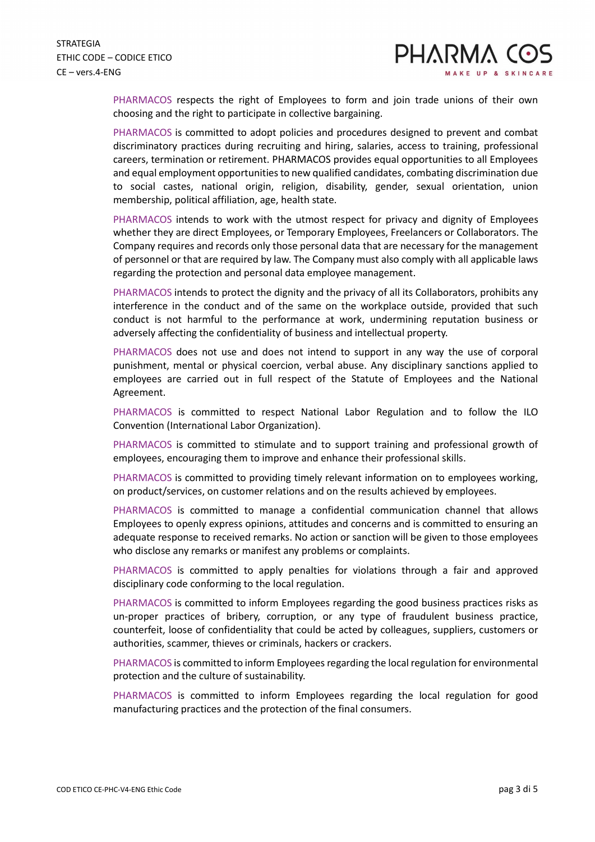PHARMACOS respects the right of Employees to form and join trade unions of their own choosing and the right to participate in collective bargaining.

PHARMACOS is committed to adopt policies and procedures designed to prevent and combat discriminatory practices during recruiting and hiring, salaries, access to training, professional careers, termination or retirement. PHARMACOS provides equal opportunities to all Employees and equal employment opportunities to new qualified candidates, combating discrimination due to social castes, national origin, religion, disability, gender, sexual orientation, union membership, political affiliation, age, health state.

PHARMACOS intends to work with the utmost respect for privacy and dignity of Employees whether they are direct Employees, or Temporary Employees, Freelancers or Collaborators. The Company requires and records only those personal data that are necessary for the management of personnel or that are required by law. The Company must also comply with all applicable laws regarding the protection and personal data employee management.

PHARMACOS intends to protect the dignity and the privacy of all its Collaborators, prohibits any interference in the conduct and of the same on the workplace outside, provided that such conduct is not harmful to the performance at work, undermining reputation business or adversely affecting the confidentiality of business and intellectual property.

PHARMACOS does not use and does not intend to support in any way the use of corporal punishment, mental or physical coercion, verbal abuse. Any disciplinary sanctions applied to employees are carried out in full respect of the Statute of Employees and the National Agreement.

PHARMACOS is committed to respect National Labor Regulation and to follow the ILO Convention (International Labor Organization).

PHARMACOS is committed to stimulate and to support training and professional growth of employees, encouraging them to improve and enhance their professional skills.

PHARMACOS is committed to providing timely relevant information on to employees working, on product/services, on customer relations and on the results achieved by employees.

PHARMACOS is committed to manage a confidential communication channel that allows Employees to openly express opinions, attitudes and concerns and is committed to ensuring an adequate response to received remarks. No action or sanction will be given to those employees who disclose any remarks or manifest any problems or complaints.

PHARMACOS is committed to apply penalties for violations through a fair and approved disciplinary code conforming to the local regulation.

PHARMACOS is committed to inform Employees regarding the good business practices risks as un-proper practices of bribery, corruption, or any type of fraudulent business practice, counterfeit, loose of confidentiality that could be acted by colleagues, suppliers, customers or authorities, scammer, thieves or criminals, hackers or crackers.

PHARMACOS is committed to inform Employees regarding the local regulation for environmental protection and the culture of sustainability.

PHARMACOS is committed to inform Employees regarding the local regulation for good manufacturing practices and the protection of the final consumers.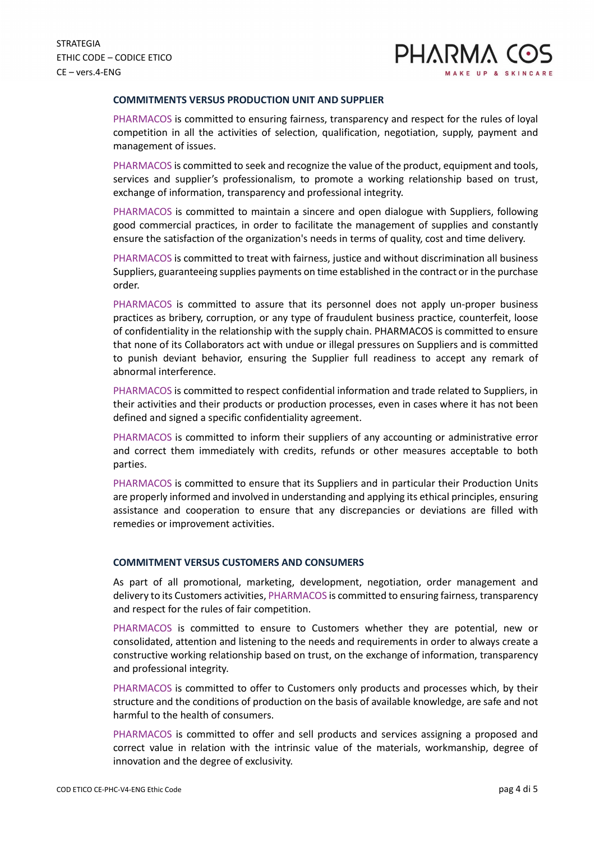

### COMMITMENTS VERSUS PRODUCTION UNIT AND SUPPLIER

PHARMACOS is committed to ensuring fairness, transparency and respect for the rules of loyal competition in all the activities of selection, qualification, negotiation, supply, payment and management of issues.

PHARMACOS is committed to seek and recognize the value of the product, equipment and tools, services and supplier's professionalism, to promote a working relationship based on trust, exchange of information, transparency and professional integrity.

PHARMACOS is committed to maintain a sincere and open dialogue with Suppliers, following good commercial practices, in order to facilitate the management of supplies and constantly ensure the satisfaction of the organization's needs in terms of quality, cost and time delivery.

PHARMACOS is committed to treat with fairness, justice and without discrimination all business Suppliers, guaranteeing supplies payments on time established in the contract or in the purchase order.

PHARMACOS is committed to assure that its personnel does not apply un-proper business practices as bribery, corruption, or any type of fraudulent business practice, counterfeit, loose of confidentiality in the relationship with the supply chain. PHARMACOS is committed to ensure that none of its Collaborators act with undue or illegal pressures on Suppliers and is committed to punish deviant behavior, ensuring the Supplier full readiness to accept any remark of abnormal interference.

PHARMACOS is committed to respect confidential information and trade related to Suppliers, in their activities and their products or production processes, even in cases where it has not been defined and signed a specific confidentiality agreement.

PHARMACOS is committed to inform their suppliers of any accounting or administrative error and correct them immediately with credits, refunds or other measures acceptable to both parties.

PHARMACOS is committed to ensure that its Suppliers and in particular their Production Units are properly informed and involved in understanding and applying its ethical principles, ensuring assistance and cooperation to ensure that any discrepancies or deviations are filled with remedies or improvement activities.

#### COMMITMENT VERSUS CUSTOMERS AND CONSUMERS

As part of all promotional, marketing, development, negotiation, order management and delivery to its Customers activities, PHARMACOS is committed to ensuring fairness, transparency and respect for the rules of fair competition.

PHARMACOS is committed to ensure to Customers whether they are potential, new or consolidated, attention and listening to the needs and requirements in order to always create a constructive working relationship based on trust, on the exchange of information, transparency and professional integrity.

PHARMACOS is committed to offer to Customers only products and processes which, by their structure and the conditions of production on the basis of available knowledge, are safe and not harmful to the health of consumers.

PHARMACOS is committed to offer and sell products and services assigning a proposed and correct value in relation with the intrinsic value of the materials, workmanship, degree of innovation and the degree of exclusivity.